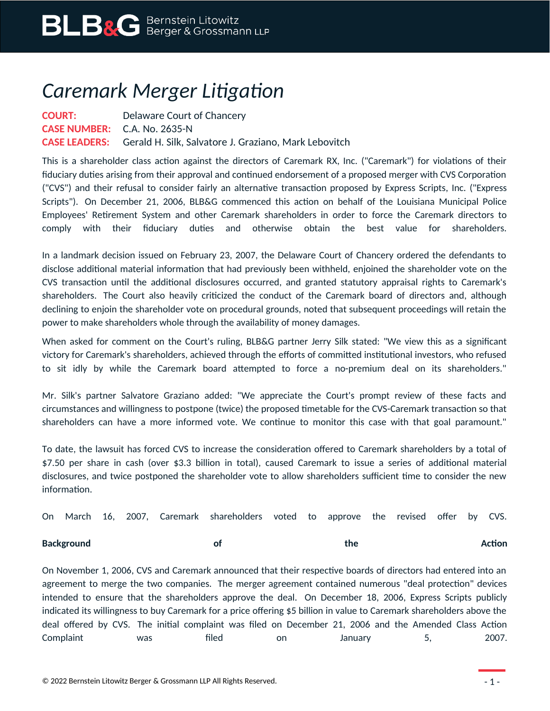## *Caremark Merger Litigation*

**COURT:** Delaware Court of Chancery **CASE NUMBER:** C.A. No. 2635-N **CASE LEADERS:** Gerald H. Silk, Salvatore J. Graziano, Mark Lebovitch

This is a shareholder class action against the directors of Caremark RX, Inc. ("Caremark") for violations of their fiduciary duties arising from their approval and continued endorsement of a proposed merger with CVS Corporation ("CVS") and their refusal to consider fairly an alternative transaction proposed by Express Scripts, Inc. ("Express Scripts"). On December 21, 2006, BLB&G commenced this action on behalf of the Louisiana Municipal Police Employees' Retirement System and other Caremark shareholders in order to force the Caremark directors to comply with their fiduciary duties and otherwise obtain the best value for shareholders.

In a landmark decision issued on February 23, 2007, the Delaware Court of Chancery ordered the defendants to disclose additional material information that had previously been withheld, enjoined the shareholder vote on the CVS transaction until the additional disclosures occurred, and granted statutory appraisal rights to Caremark's shareholders. The Court also heavily criticized the conduct of the Caremark board of directors and, although declining to enjoin the shareholder vote on procedural grounds, noted that subsequent proceedings will retain the power to make shareholders whole through the availability of money damages.

When asked for comment on the Court's ruling, BLB&G partner Jerry Silk stated: "We view this as a significant victory for Caremark's shareholders, achieved through the efforts of committed institutional investors, who refused to sit idly by while the Caremark board attempted to force a no-premium deal on its shareholders."

Mr. Silk's partner Salvatore Graziano added: "We appreciate the Court's prompt review of these facts and circumstances and willingness to postpone (twice) the proposed timetable for the CVS-Caremark transaction so that shareholders can have a more informed vote. We continue to monitor this case with that goal paramount."

To date, the lawsuit has forced CVS to increase the consideration offered to Caremark shareholders by a total of \$7.50 per share in cash (over \$3.3 billion in total), caused Caremark to issue a series of additional material disclosures, and twice postponed the shareholder vote to allow shareholders sufficient time to consider the new information.

|  |  | On March 16, 2007, Caremark shareholders voted to approve the revised offer by CVS. |  |  |  |  |
|--|--|-------------------------------------------------------------------------------------|--|--|--|--|
|  |  |                                                                                     |  |  |  |  |

**Background of the Action**

On November 1, 2006, CVS and Caremark announced that their respective boards of directors had entered into an agreement to merge the two companies. The merger agreement contained numerous "deal protection" devices intended to ensure that the shareholders approve the deal. On December 18, 2006, Express Scripts publicly indicated its willingness to buy Caremark for a price offering \$5 billion in value to Caremark shareholders above the deal offered by CVS. The initial complaint was filed on December 21, 2006 and the Amended Class Action Complaint was filed on January 5, 2007.